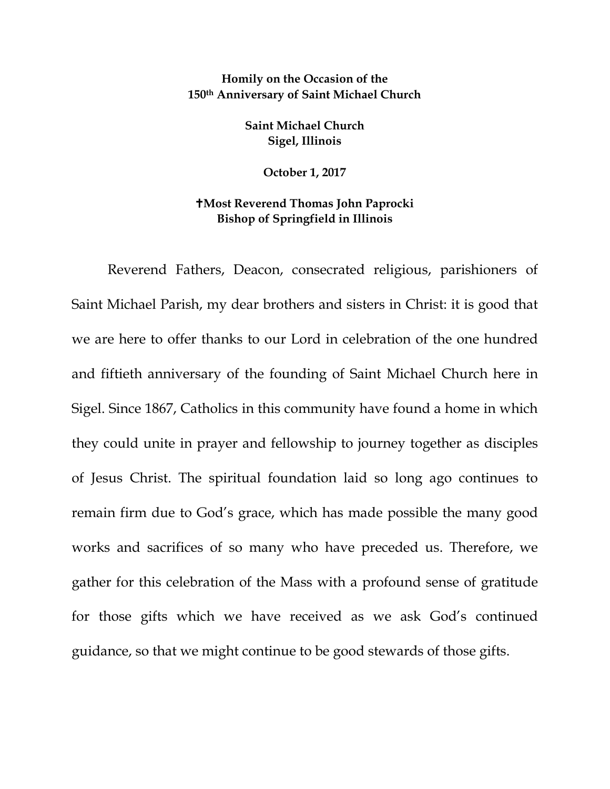## **Homily on the Occasion of the 150th Anniversary of Saint Michael Church**

**Saint Michael Church Sigel, Illinois**

**October 1, 2017**

## **Most Reverend Thomas John Paprocki Bishop of Springfield in Illinois**

Reverend Fathers, Deacon, consecrated religious, parishioners of Saint Michael Parish, my dear brothers and sisters in Christ: it is good that we are here to offer thanks to our Lord in celebration of the one hundred and fiftieth anniversary of the founding of Saint Michael Church here in Sigel. Since 1867, Catholics in this community have found a home in which they could unite in prayer and fellowship to journey together as disciples of Jesus Christ. The spiritual foundation laid so long ago continues to remain firm due to God's grace, which has made possible the many good works and sacrifices of so many who have preceded us. Therefore, we gather for this celebration of the Mass with a profound sense of gratitude for those gifts which we have received as we ask God's continued guidance, so that we might continue to be good stewards of those gifts.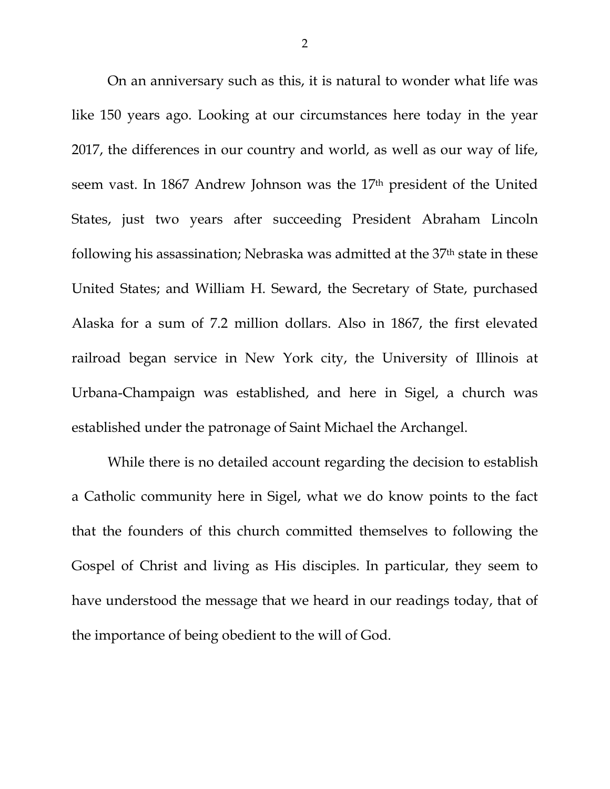On an anniversary such as this, it is natural to wonder what life was like 150 years ago. Looking at our circumstances here today in the year 2017, the differences in our country and world, as well as our way of life, seem vast. In 1867 Andrew Johnson was the 17<sup>th</sup> president of the United States, just two years after succeeding President Abraham Lincoln following his assassination; Nebraska was admitted at the 37<sup>th</sup> state in these United States; and William H. Seward, the Secretary of State, purchased Alaska for a sum of 7.2 million dollars. Also in 1867, the first elevated railroad began service in New York city, the University of Illinois at Urbana-Champaign was established, and here in Sigel, a church was established under the patronage of Saint Michael the Archangel.

While there is no detailed account regarding the decision to establish a Catholic community here in Sigel, what we do know points to the fact that the founders of this church committed themselves to following the Gospel of Christ and living as His disciples. In particular, they seem to have understood the message that we heard in our readings today, that of the importance of being obedient to the will of God.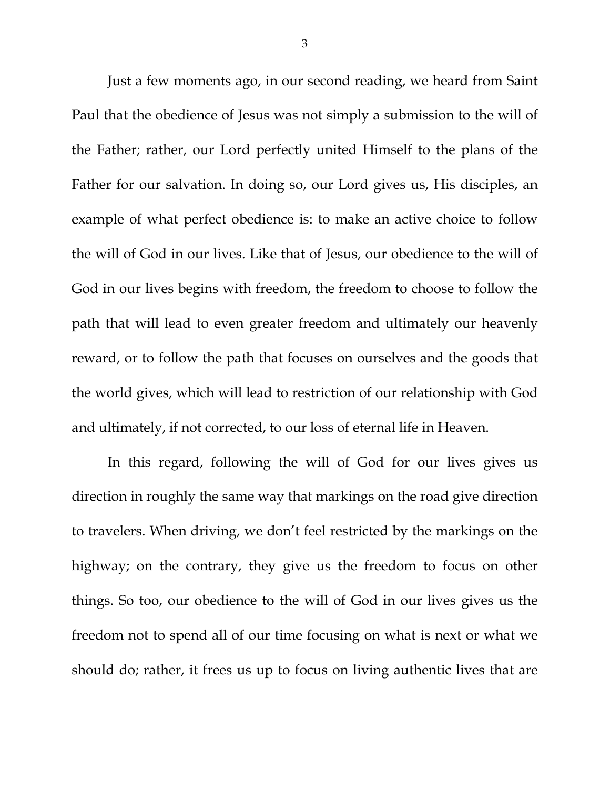Just a few moments ago, in our second reading, we heard from Saint Paul that the obedience of Jesus was not simply a submission to the will of the Father; rather, our Lord perfectly united Himself to the plans of the Father for our salvation. In doing so, our Lord gives us, His disciples, an example of what perfect obedience is: to make an active choice to follow the will of God in our lives. Like that of Jesus, our obedience to the will of God in our lives begins with freedom, the freedom to choose to follow the path that will lead to even greater freedom and ultimately our heavenly reward, or to follow the path that focuses on ourselves and the goods that the world gives, which will lead to restriction of our relationship with God and ultimately, if not corrected, to our loss of eternal life in Heaven.

In this regard, following the will of God for our lives gives us direction in roughly the same way that markings on the road give direction to travelers. When driving, we don't feel restricted by the markings on the highway; on the contrary, they give us the freedom to focus on other things. So too, our obedience to the will of God in our lives gives us the freedom not to spend all of our time focusing on what is next or what we should do; rather, it frees us up to focus on living authentic lives that are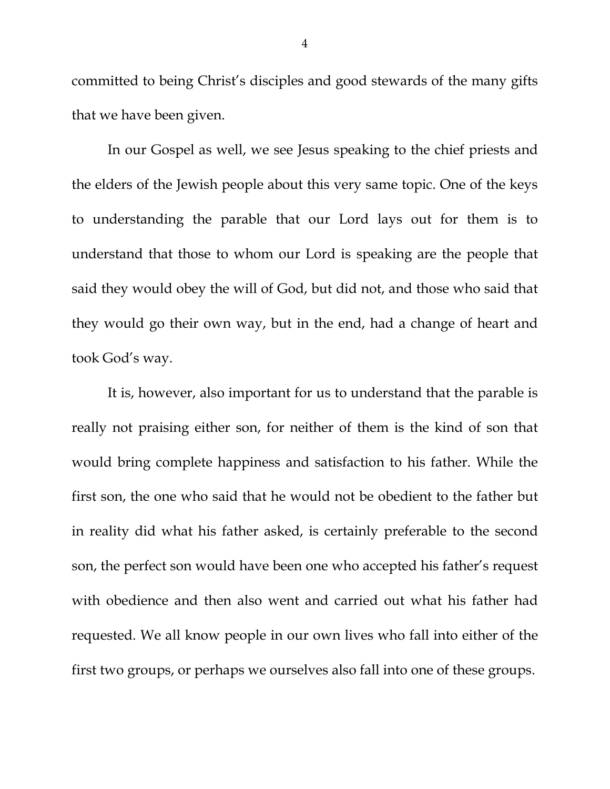committed to being Christ's disciples and good stewards of the many gifts that we have been given.

In our Gospel as well, we see Jesus speaking to the chief priests and the elders of the Jewish people about this very same topic. One of the keys to understanding the parable that our Lord lays out for them is to understand that those to whom our Lord is speaking are the people that said they would obey the will of God, but did not, and those who said that they would go their own way, but in the end, had a change of heart and took God's way.

It is, however, also important for us to understand that the parable is really not praising either son, for neither of them is the kind of son that would bring complete happiness and satisfaction to his father. While the first son, the one who said that he would not be obedient to the father but in reality did what his father asked, is certainly preferable to the second son, the perfect son would have been one who accepted his father's request with obedience and then also went and carried out what his father had requested. We all know people in our own lives who fall into either of the first two groups, or perhaps we ourselves also fall into one of these groups.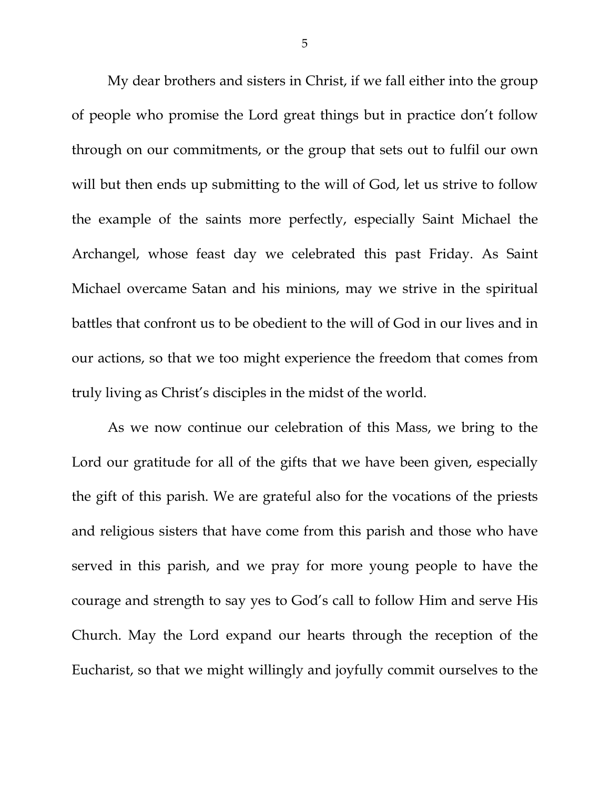My dear brothers and sisters in Christ, if we fall either into the group of people who promise the Lord great things but in practice don't follow through on our commitments, or the group that sets out to fulfil our own will but then ends up submitting to the will of God, let us strive to follow the example of the saints more perfectly, especially Saint Michael the Archangel, whose feast day we celebrated this past Friday. As Saint Michael overcame Satan and his minions, may we strive in the spiritual battles that confront us to be obedient to the will of God in our lives and in our actions, so that we too might experience the freedom that comes from truly living as Christ's disciples in the midst of the world.

As we now continue our celebration of this Mass, we bring to the Lord our gratitude for all of the gifts that we have been given, especially the gift of this parish. We are grateful also for the vocations of the priests and religious sisters that have come from this parish and those who have served in this parish, and we pray for more young people to have the courage and strength to say yes to God's call to follow Him and serve His Church. May the Lord expand our hearts through the reception of the Eucharist, so that we might willingly and joyfully commit ourselves to the

5